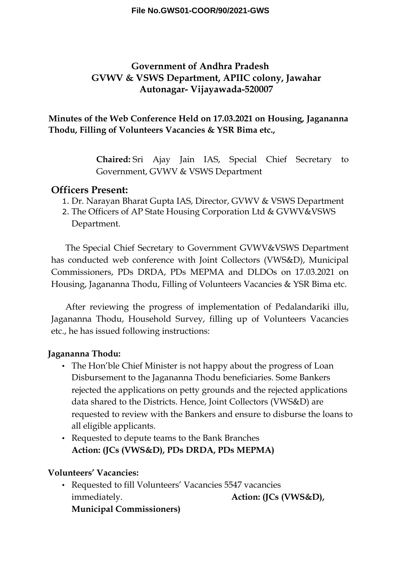# **Government of Andhra Pradesh GVWV & VSWS Department, APIIC colony, Jawahar Autonagar- Vijayawada-520007**

### **Minutes of the Web Conference Held on 17.03.2021 on Housing, Jagananna Thodu, Filling of Volunteers Vacancies & YSR Bima etc.,**

**Chaired:** Sri Ajay Jain IAS, Special Chief Secretary to Government, GVWV & VSWS Department

### **Officers Present:**

- 1. Dr. Narayan Bharat Gupta IAS, Director, GVWV & VSWS Department
- 2. The Officers of AP State Housing Corporation Ltd & GVWV&VSWS Department.

The Special Chief Secretary to Government GVWV&VSWS Department has conducted web conference with Joint Collectors (VWS&D), Municipal Commissioners, PDs DRDA, PDs MEPMA and DLDOs on 17.03.2021 on Housing, Jagananna Thodu, Filling of Volunteers Vacancies & YSR Bima etc.

After reviewing the progress of implementation of Pedalandariki illu, Jagananna Thodu, Household Survey, filling up of Volunteers Vacancies etc., he has issued following instructions:

### **Jagananna Thodu:**

- The Hon'ble Chief Minister is not happy about the progress of Loan Disbursement to the Jagananna Thodu beneficiaries. Some Bankers rejected the applications on petty grounds and the rejected applications data shared to the Districts. Hence, Joint Collectors (VWS&D) are requested to review with the Bankers and ensure to disburse the loans to all eligible applicants.
- Requested to depute teams to the Bank Branches **Action: (JCs (VWS&D), PDs DRDA, PDs MEPMA)**

#### **Volunteers' Vacancies:**

• Requested to fill Volunteers' Vacancies 5547 vacancies immediately. **Action: (JCs (VWS&D)**, **Municipal Commissioners)**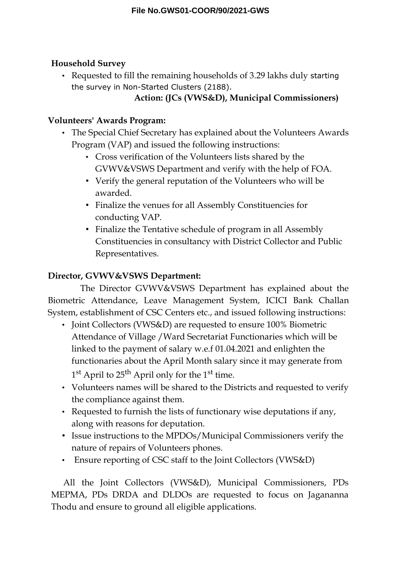## **Household Survey**

• Requested to fill the remaining households of 3.29 lakhs duly starting the survey in Non-Started Clusters (2188).

# **Action: (JCs (VWS&D), Municipal Commissioners)**

## **Volunteers' Awards Program:**

- The Special Chief Secretary has explained about the Volunteers Awards Program (VAP) and issued the following instructions:
	- Cross verification of the Volunteers lists shared by the GVWV&VSWS Department and verify with the help of FOA.
	- Verify the general reputation of the Volunteers who will be awarded.
	- Finalize the venues for all Assembly Constituencies for conducting VAP.
	- Finalize the Tentative schedule of program in all Assembly Constituencies in consultancy with District Collector and Public Representatives.

# **Director, GVWV&VSWS Department:**

The Director GVWV&VSWS Department has explained about the Biometric Attendance, Leave Management System, ICICI Bank Challan System, establishment of CSC Centers etc., and issued following instructions:

- Joint Collectors (VWS&D) are requested to ensure 100% Biometric Attendance of Village /Ward Secretariat Functionaries which will be linked to the payment of salary w.e.f 01.04.2021 and enlighten the functionaries about the April Month salary since it may generate from 1<sup>st</sup> April to 25<sup>th</sup> April only for the 1<sup>st</sup> time.
- Volunteers names will be shared to the Districts and requested to verify the compliance against them.
- Requested to furnish the lists of functionary wise deputations if any, along with reasons for deputation.
- Issue instructions to the MPDOs/Municipal Commissioners verify the nature of repairs of Volunteers phones.
- Ensure reporting of CSC staff to the Joint Collectors (VWS&D)

All the Joint Collectors (VWS&D), Municipal Commissioners, PDs MEPMA, PDs DRDA and DLDOs are requested to focus on Jagananna Thodu and ensure to ground all eligible applications.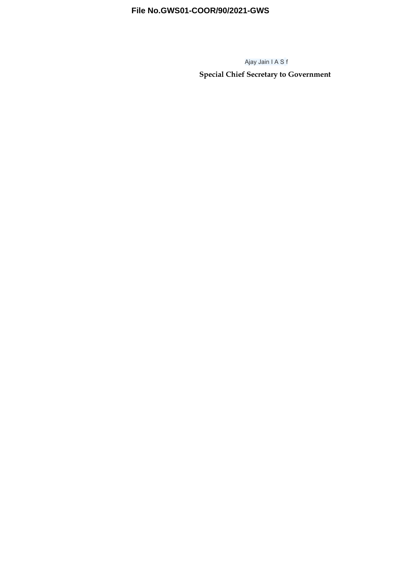### **File No.GWS01-COOR/90/2021-GWS**

Ajay Jain I A S f

**Special Chief Secretary to Government**